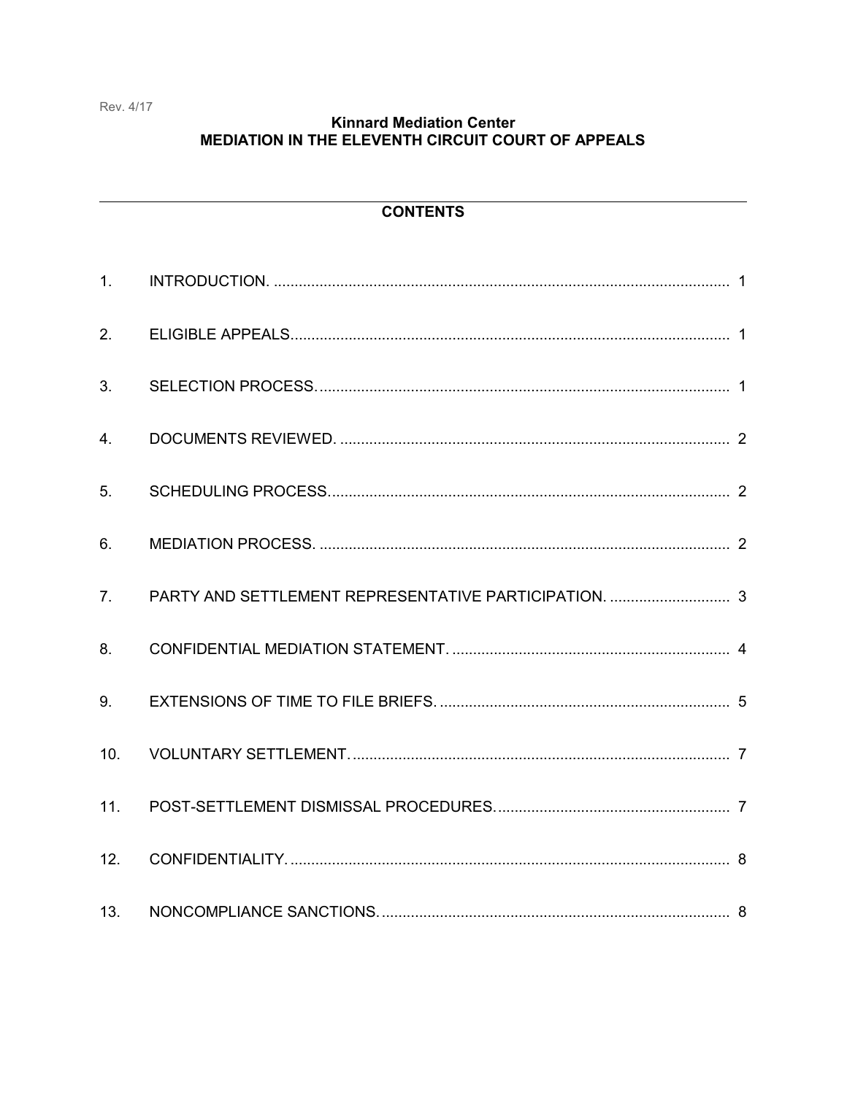## **Kinnard Mediation Center** MEDIATION IN THE ELEVENTH CIRCUIT COURT OF APPEALS

# **CONTENTS**

| 1 <sub>1</sub> |  |
|----------------|--|
| 2.             |  |
| 3.             |  |
| 4.             |  |
| 5.             |  |
| 6.             |  |
| 7.             |  |
| 8.             |  |
| 9.             |  |
| 10.            |  |
| 11.            |  |
| 12.            |  |
| 13.            |  |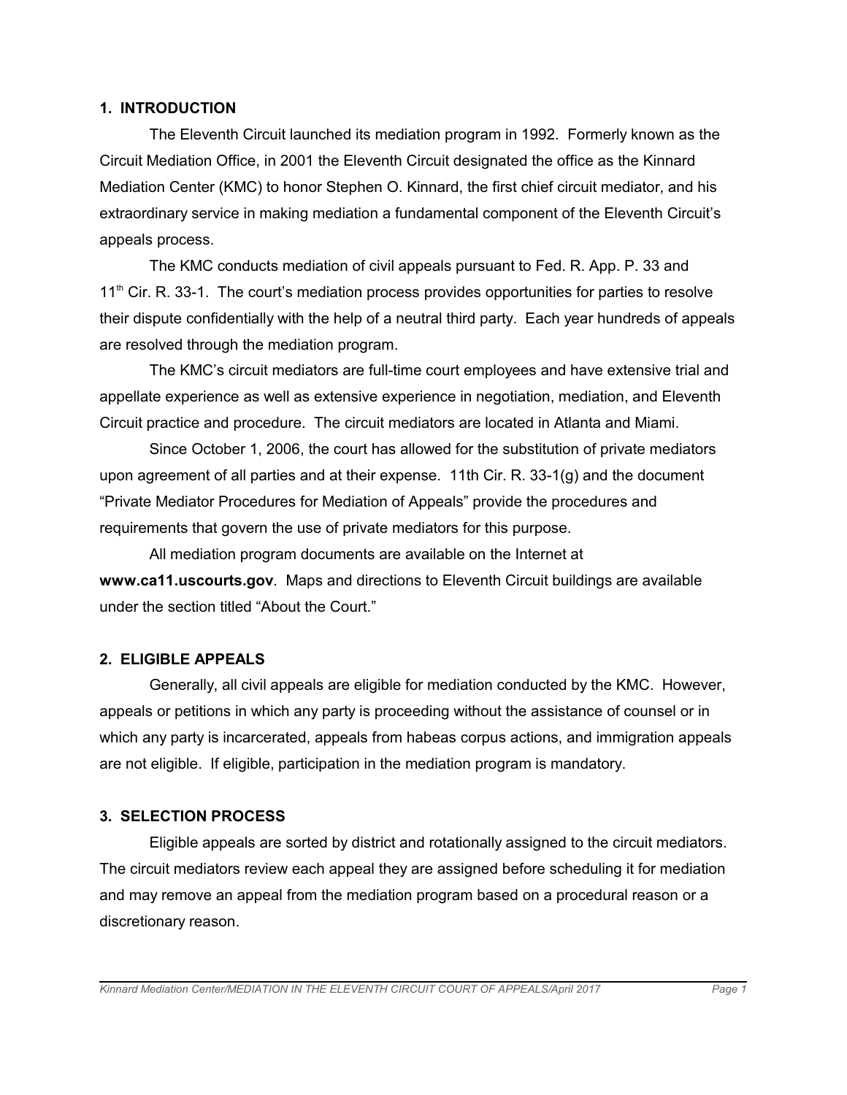#### **1. INTRODUCTION**

The Eleventh Circuit launched its mediation program in 1992. Formerly known as the Circuit Mediation Office, in 2001 the Eleventh Circuit designated the office as the Kinnard Mediation Center (KMC) to honor Stephen O. Kinnard, the first chief circuit mediator, and his extraordinary service in making mediation a fundamental component of the Eleventh Circuit's appeals process.

The KMC conducts mediation of civil appeals pursuant to Fed. R. App. P. 33 and 11<sup>th</sup> Cir. R. 33-1. The court's mediation process provides opportunities for parties to resolve their dispute confidentially with the help of a neutral third party. Each year hundreds of appeals are resolved through the mediation program.

The KMC's circuit mediators are full-time court employees and have extensive trial and appellate experience as well as extensive experience in negotiation, mediation, and Eleventh Circuit practice and procedure. The circuit mediators are located in Atlanta and Miami.

Since October 1, 2006, the court has allowed for the substitution of private mediators upon agreement of all parties and at their expense. 11th Cir. R. 33-1(g) and the document "Private Mediator Procedures for Mediation of Appeals" provide the procedures and requirements that govern the use of private mediators for this purpose.

All mediation program documents are available on the Internet at **www.ca11.uscourts.gov***.* Maps and directions to Eleventh Circuit buildings are available under the section titled "About the Court."

## **2. ELIGIBLE APPEALS**

Generally, all civil appeals are eligible for mediation conducted by the KMC. However, appeals or petitions in which any party is proceeding without the assistance of counsel or in which any party is incarcerated, appeals from habeas corpus actions, and immigration appeals are not eligible. If eligible, participation in the mediation program is mandatory.

## **3. SELECTION PROCESS**

Eligible appeals are sorted by district and rotationally assigned to the circuit mediators. The circuit mediators review each appeal they are assigned before scheduling it for mediation and may remove an appeal from the mediation program based on a procedural reason or a discretionary reason.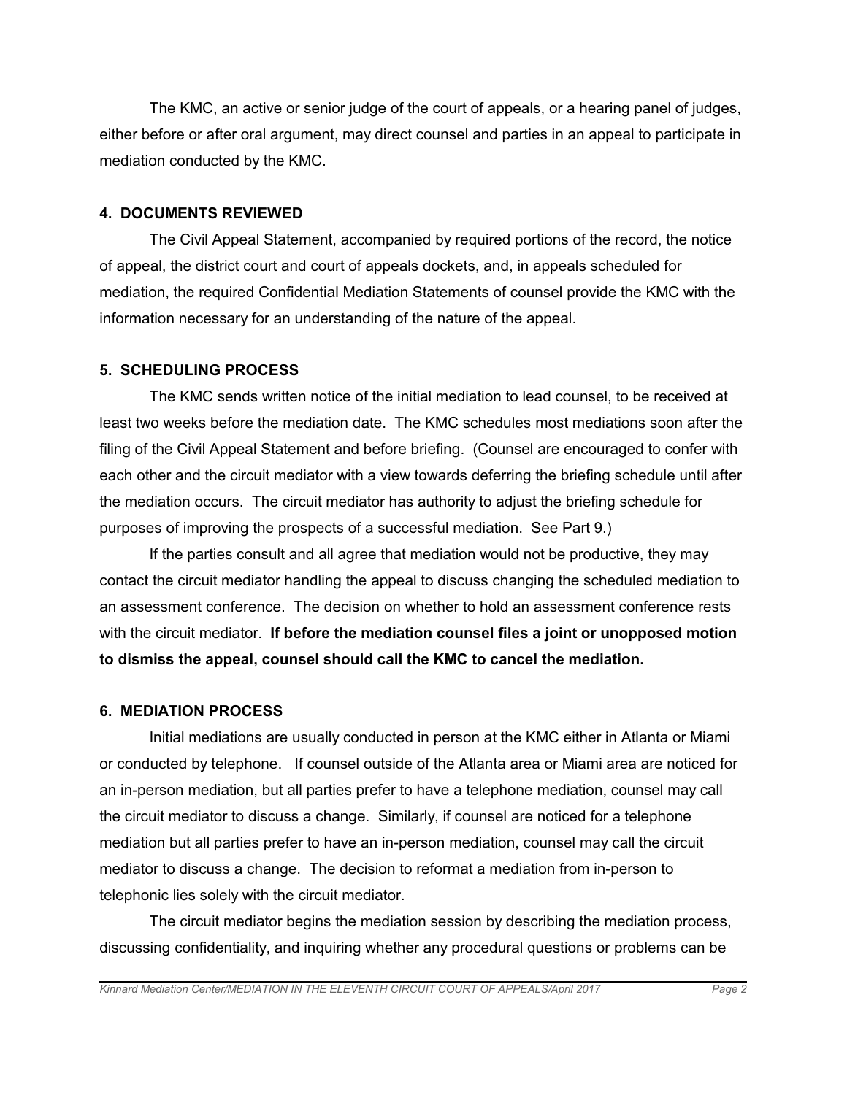The KMC, an active or senior judge of the court of appeals, or a hearing panel of judges, either before or after oral argument, may direct counsel and parties in an appeal to participate in mediation conducted by the KMC.

## **4. DOCUMENTS REVIEWED**

The Civil Appeal Statement, accompanied by required portions of the record, the notice of appeal, the district court and court of appeals dockets, and, in appeals scheduled for mediation, the required Confidential Mediation Statements of counsel provide the KMC with the information necessary for an understanding of the nature of the appeal.

### **5. SCHEDULING PROCESS**

The KMC sends written notice of the initial mediation to lead counsel, to be received at least two weeks before the mediation date. The KMC schedules most mediations soon after the filing of the Civil Appeal Statement and before briefing. (Counsel are encouraged to confer with each other and the circuit mediator with a view towards deferring the briefing schedule until after the mediation occurs. The circuit mediator has authority to adjust the briefing schedule for purposes of improving the prospects of a successful mediation. See Part 9.)

If the parties consult and all agree that mediation would not be productive, they may contact the circuit mediator handling the appeal to discuss changing the scheduled mediation to an assessment conference. The decision on whether to hold an assessment conference rests with the circuit mediator. **If before the mediation counsel files a joint or unopposed motion to dismiss the appeal, counsel should call the KMC to cancel the mediation.**

#### **6. MEDIATION PROCESS**

Initial mediations are usually conducted in person at the KMC either in Atlanta or Miami or conducted by telephone. If counsel outside of the Atlanta area or Miami area are noticed for an in-person mediation, but all parties prefer to have a telephone mediation, counsel may call the circuit mediator to discuss a change. Similarly, if counsel are noticed for a telephone mediation but all parties prefer to have an in-person mediation, counsel may call the circuit mediator to discuss a change. The decision to reformat a mediation from in-person to telephonic lies solely with the circuit mediator.

The circuit mediator begins the mediation session by describing the mediation process, discussing confidentiality, and inquiring whether any procedural questions or problems can be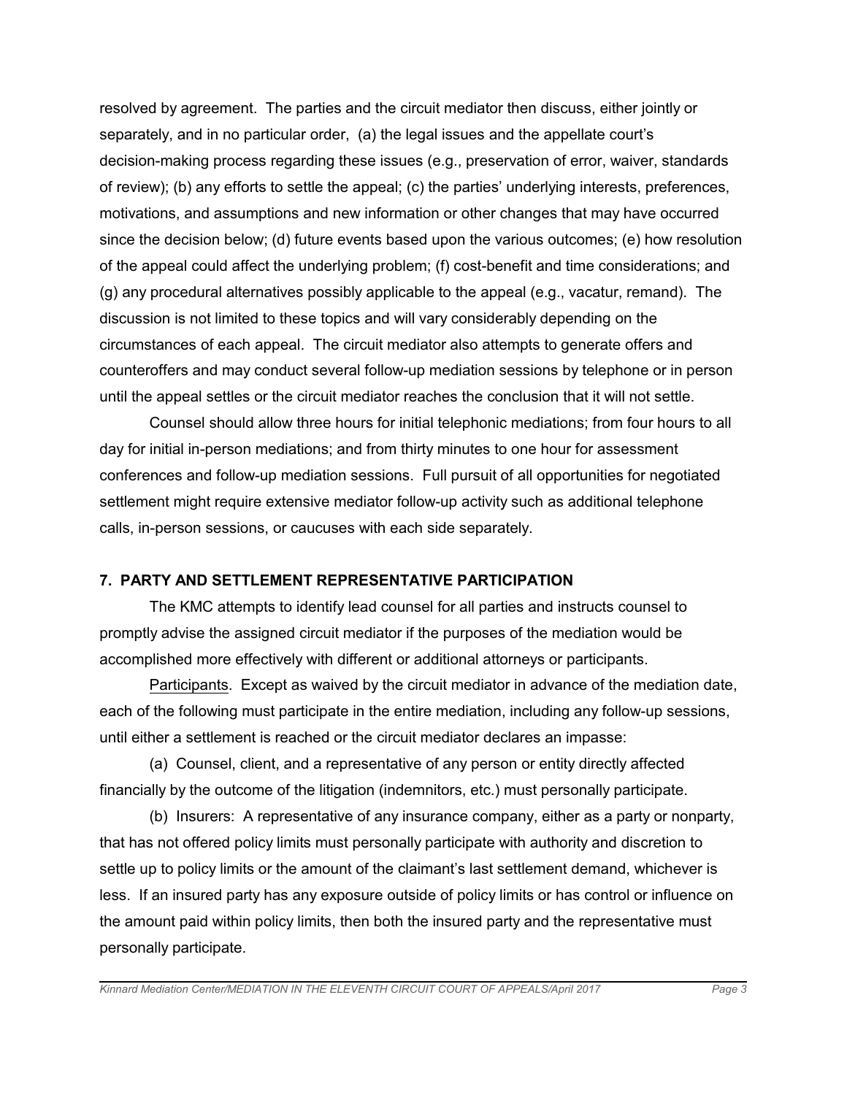resolved by agreement. The parties and the circuit mediator then discuss, either jointly or separately, and in no particular order, (a) the legal issues and the appellate court's decision-making process regarding these issues (e.g., preservation of error, waiver, standards of review); (b) any efforts to settle the appeal; (c) the parties' underlying interests, preferences, motivations, and assumptions and new information or other changes that may have occurred since the decision below; (d) future events based upon the various outcomes; (e) how resolution of the appeal could affect the underlying problem; (f) cost-benefit and time considerations; and (g) any procedural alternatives possibly applicable to the appeal (e.g., vacatur, remand). The discussion is not limited to these topics and will vary considerably depending on the circumstances of each appeal. The circuit mediator also attempts to generate offers and counteroffers and may conduct several follow-up mediation sessions by telephone or in person until the appeal settles or the circuit mediator reaches the conclusion that it will not settle.

Counsel should allow three hours for initial telephonic mediations; from four hours to all day for initial in-person mediations; and from thirty minutes to one hour for assessment conferences and follow-up mediation sessions. Full pursuit of all opportunities for negotiated settlement might require extensive mediator follow-up activity such as additional telephone calls, in-person sessions, or caucuses with each side separately.

## **7. PARTY AND SETTLEMENT REPRESENTATIVE PARTICIPATION**

The KMC attempts to identify lead counsel for all parties and instructs counsel to promptly advise the assigned circuit mediator if the purposes of the mediation would be accomplished more effectively with different or additional attorneys or participants.

Participants. Except as waived by the circuit mediator in advance of the mediation date, each of the following must participate in the entire mediation, including any follow-up sessions, until either a settlement is reached or the circuit mediator declares an impasse:

(a) Counsel, client, and a representative of any person or entity directly affected financially by the outcome of the litigation (indemnitors, etc.) must personally participate.

(b) Insurers: A representative of any insurance company, either as a party or nonparty, that has not offered policy limits must personally participate with authority and discretion to settle up to policy limits or the amount of the claimant's last settlement demand, whichever is less. If an insured party has any exposure outside of policy limits or has control or influence on the amount paid within policy limits, then both the insured party and the representative must personally participate.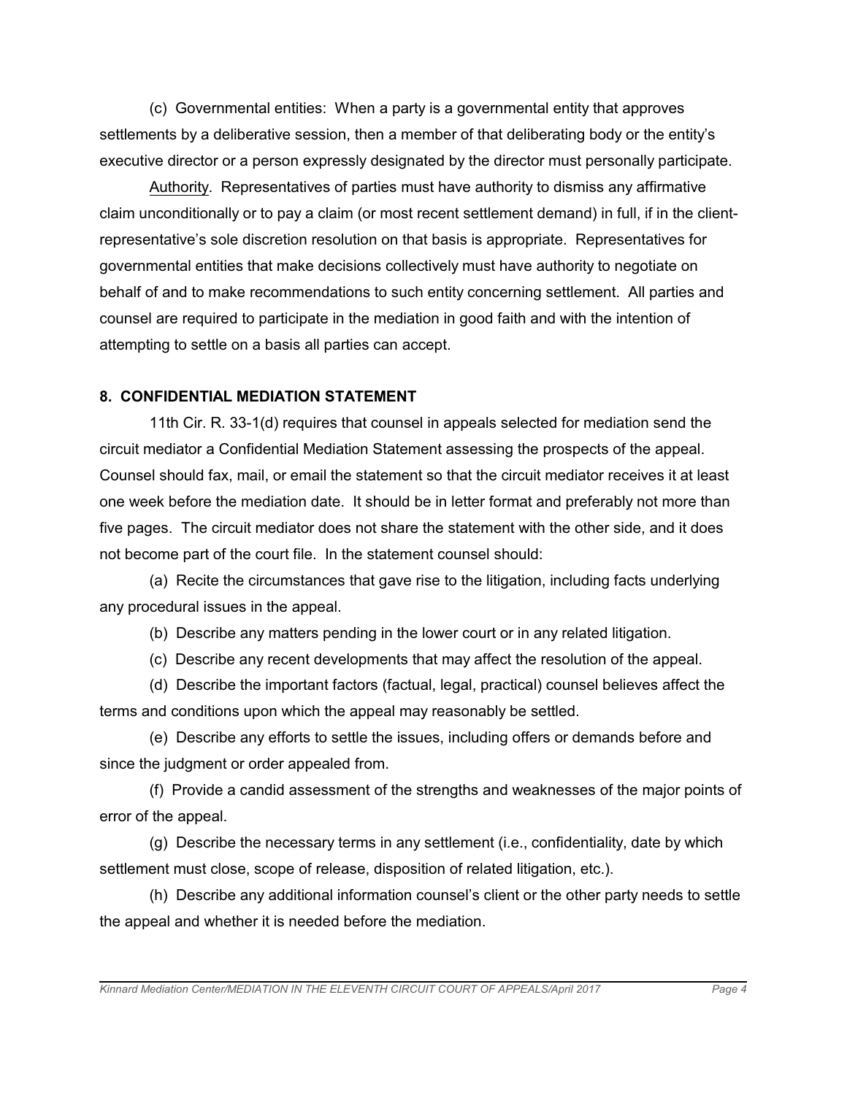(c) Governmental entities: When a party is a governmental entity that approves settlements by a deliberative session, then a member of that deliberating body or the entity's executive director or a person expressly designated by the director must personally participate.

Authority. Representatives of parties must have authority to dismiss any affirmative claim unconditionally or to pay a claim (or most recent settlement demand) in full, if in the clientrepresentative's sole discretion resolution on that basis is appropriate. Representatives for governmental entities that make decisions collectively must have authority to negotiate on behalf of and to make recommendations to such entity concerning settlement. All parties and counsel are required to participate in the mediation in good faith and with the intention of attempting to settle on a basis all parties can accept.

### **8. CONFIDENTIAL MEDIATION STATEMENT**

11th Cir. R. 33-1(d) requires that counsel in appeals selected for mediation send the circuit mediator a Confidential Mediation Statement assessing the prospects of the appeal. Counsel should fax, mail, or email the statement so that the circuit mediator receives it at least one week before the mediation date. It should be in letter format and preferably not more than five pages. The circuit mediator does not share the statement with the other side, and it does not become part of the court file. In the statement counsel should:

(a) Recite the circumstances that gave rise to the litigation, including facts underlying any procedural issues in the appeal.

(b) Describe any matters pending in the lower court or in any related litigation.

(c) Describe any recent developments that may affect the resolution of the appeal.

(d) Describe the important factors (factual, legal, practical) counsel believes affect the terms and conditions upon which the appeal may reasonably be settled.

(e) Describe any efforts to settle the issues, including offers or demands before and since the judgment or order appealed from.

(f) Provide a candid assessment of the strengths and weaknesses of the major points of error of the appeal.

(g) Describe the necessary terms in any settlement (i.e., confidentiality, date by which settlement must close, scope of release, disposition of related litigation, etc.).

(h) Describe any additional information counsel's client or the other party needs to settle the appeal and whether it is needed before the mediation.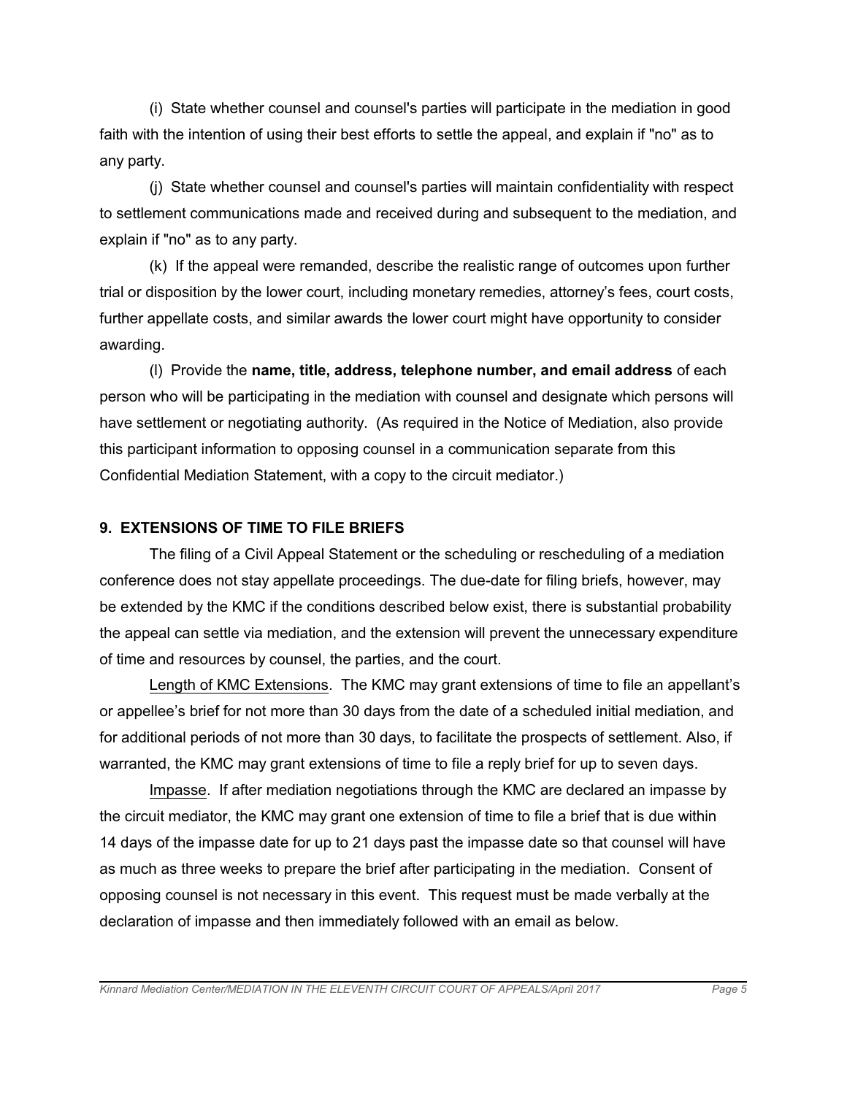(i) State whether counsel and counsel's parties will participate in the mediation in good faith with the intention of using their best efforts to settle the appeal, and explain if "no" as to any party.

(j) State whether counsel and counsel's parties will maintain confidentiality with respect to settlement communications made and received during and subsequent to the mediation, and explain if "no" as to any party.

(k) If the appeal were remanded, describe the realistic range of outcomes upon further trial or disposition by the lower court, including monetary remedies, attorney's fees, court costs, further appellate costs, and similar awards the lower court might have opportunity to consider awarding.

(l) Provide the **name, title, address, telephone number, and email address** of each person who will be participating in the mediation with counsel and designate which persons will have settlement or negotiating authority. (As required in the Notice of Mediation, also provide this participant information to opposing counsel in a communication separate from this Confidential Mediation Statement, with a copy to the circuit mediator.)

### **9. EXTENSIONS OF TIME TO FILE BRIEFS**

The filing of a Civil Appeal Statement or the scheduling or rescheduling of a mediation conference does not stay appellate proceedings. The due-date for filing briefs, however, may be extended by the KMC if the conditions described below exist, there is substantial probability the appeal can settle via mediation, and the extension will prevent the unnecessary expenditure of time and resources by counsel, the parties, and the court.

Length of KMC Extensions. The KMC may grant extensions of time to file an appellant's or appellee's brief for not more than 30 days from the date of a scheduled initial mediation, and for additional periods of not more than 30 days, to facilitate the prospects of settlement. Also, if warranted, the KMC may grant extensions of time to file a reply brief for up to seven days.

Impasse. If after mediation negotiations through the KMC are declared an impasse by the circuit mediator, the KMC may grant one extension of time to file a brief that is due within 14 days of the impasse date for up to 21 days past the impasse date so that counsel will have as much as three weeks to prepare the brief after participating in the mediation. Consent of opposing counsel is not necessary in this event. This request must be made verbally at the declaration of impasse and then immediately followed with an email as below.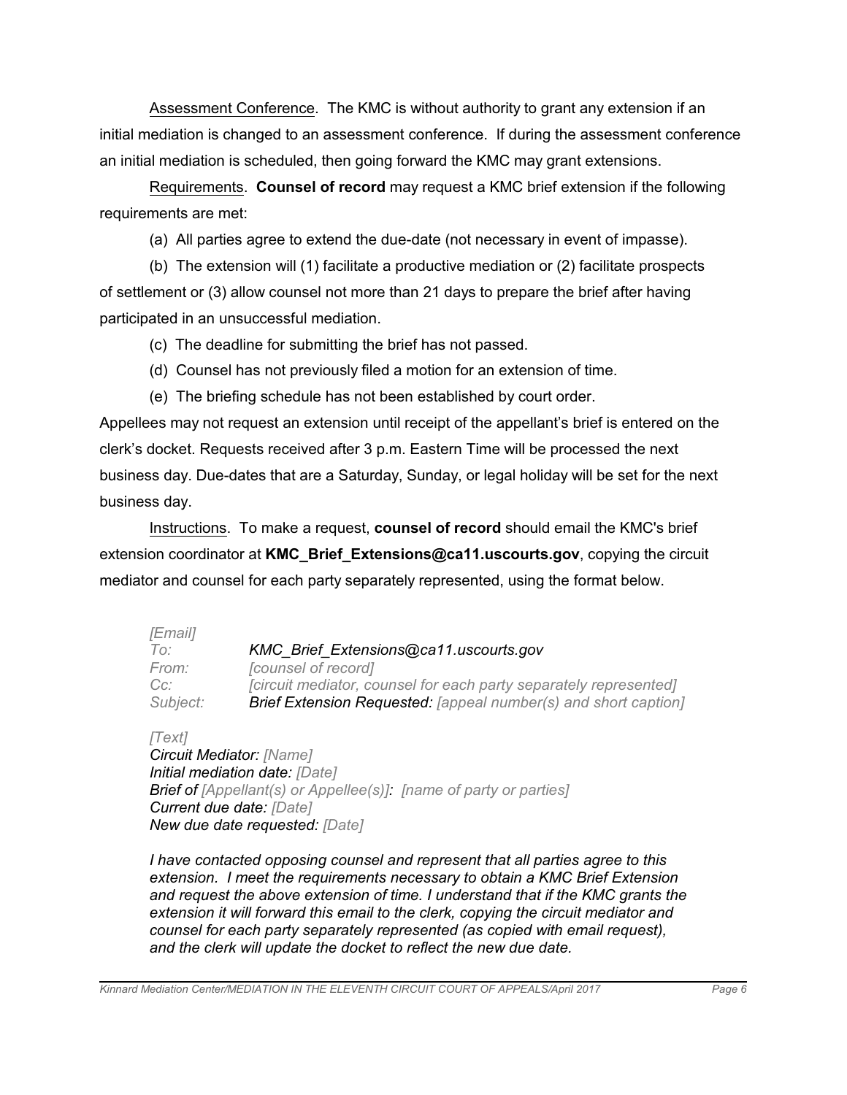Assessment Conference. The KMC is without authority to grant any extension if an initial mediation is changed to an assessment conference. If during the assessment conference an initial mediation is scheduled, then going forward the KMC may grant extensions.

Requirements. **Counsel of record** may request a KMC brief extension if the following requirements are met:

(a) All parties agree to extend the due-date (not necessary in event of impasse).

(b) The extension will (1) facilitate a productive mediation or (2) facilitate prospects of settlement or (3) allow counsel not more than 21 days to prepare the brief after having participated in an unsuccessful mediation.

- (c) The deadline for submitting the brief has not passed.
- (d) Counsel has not previously filed a motion for an extension of time.
- (e) The briefing schedule has not been established by court order.

Appellees may not request an extension until receipt of the appellant's brief is entered on the clerk's docket. Requests received after 3 p.m. Eastern Time will be processed the next business day. Due-dates that are a Saturday, Sunday, or legal holiday will be set for the next business day.

Instructions. To make a request, **counsel of record** should email the KMC's brief extension coordinator at **KMC\_Brief\_Extensions@ca11.uscourts.gov**, copying the circuit mediator and counsel for each party separately represented, using the format below.

| [Email]  |                                                                        |
|----------|------------------------------------------------------------------------|
| To:      | KMC Brief Extensions@ca11.uscourts.gov                                 |
| From:    | [counsel of record]                                                    |
| $Cc$ :   | [circuit mediator, counsel for each party separately represented]      |
| Subject: | <b>Brief Extension Requested:</b> [appeal number(s) and short caption] |

*[Text] Circuit Mediator: [Name] Initial mediation date: [Date] Brief of [Appellant(s) or Appellee(s)]: [name of party or parties] Current due date: [Date] New due date requested: [Date]*

*I have contacted opposing counsel and represent that all parties agree to this extension. I meet the requirements necessary to obtain a KMC Brief Extension and request the above extension of time. I understand that if the KMC grants the extension it will forward this email to the clerk, copying the circuit mediator and counsel for each party separately represented (as copied with email request), and the clerk will update the docket to reflect the new due date.*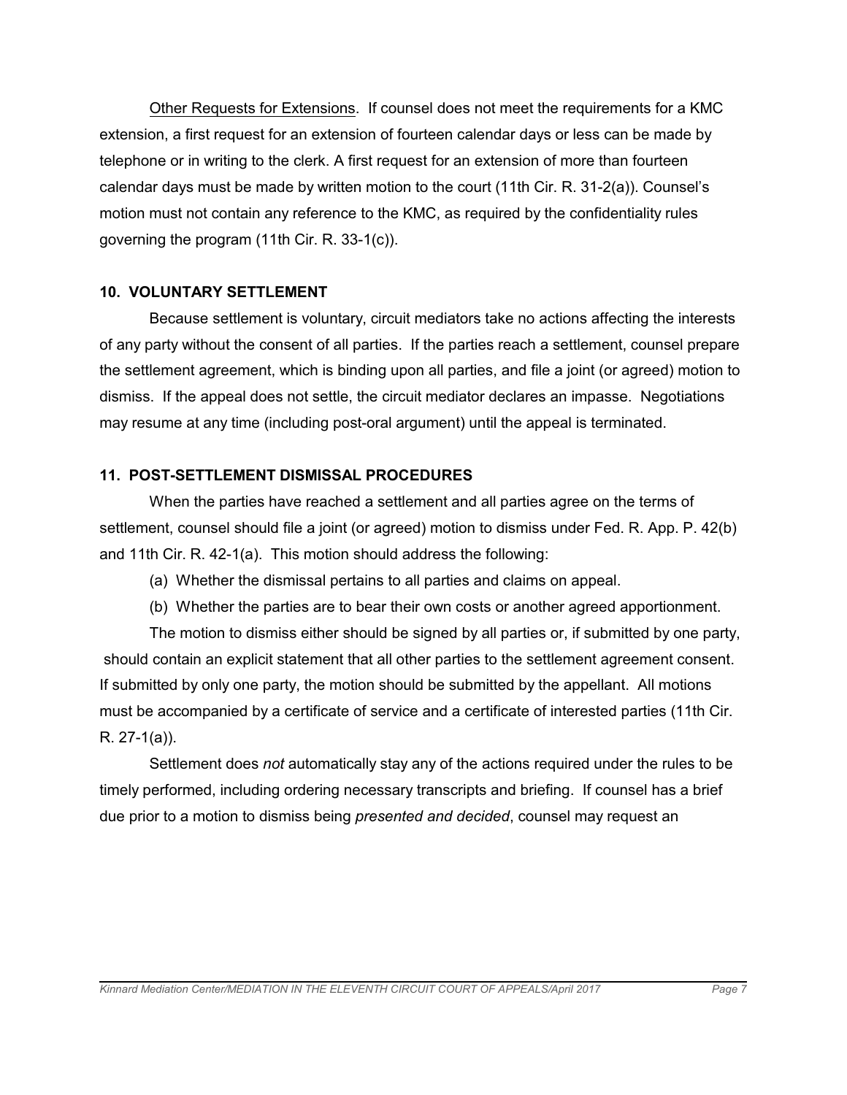Other Requests for Extensions. If counsel does not meet the requirements for a KMC extension, a first request for an extension of fourteen calendar days or less can be made by telephone or in writing to the clerk. A first request for an extension of more than fourteen calendar days must be made by written motion to the court (11th Cir. R. 31-2(a)). Counsel's motion must not contain any reference to the KMC, as required by the confidentiality rules governing the program (11th Cir. R. 33-1(c)).

### **10. VOLUNTARY SETTLEMENT**

Because settlement is voluntary, circuit mediators take no actions affecting the interests of any party without the consent of all parties. If the parties reach a settlement, counsel prepare the settlement agreement, which is binding upon all parties, and file a joint (or agreed) motion to dismiss. If the appeal does not settle, the circuit mediator declares an impasse. Negotiations may resume at any time (including post-oral argument) until the appeal is terminated.

## **11. POST-SETTLEMENT DISMISSAL PROCEDURES**

When the parties have reached a settlement and all parties agree on the terms of settlement, counsel should file a joint (or agreed) motion to dismiss under Fed. R. App. P. 42(b) and 11th Cir. R. 42-1(a). This motion should address the following:

- (a) Whether the dismissal pertains to all parties and claims on appeal.
- (b) Whether the parties are to bear their own costs or another agreed apportionment.

The motion to dismiss either should be signed by all parties or, if submitted by one party, should contain an explicit statement that all other parties to the settlement agreement consent. If submitted by only one party, the motion should be submitted by the appellant. All motions must be accompanied by a certificate of service and a certificate of interested parties (11th Cir. R. 27-1(a)).

Settlement does *not* automatically stay any of the actions required under the rules to be timely performed, including ordering necessary transcripts and briefing. If counsel has a brief due prior to a motion to dismiss being *presented and decided*, counsel may request an